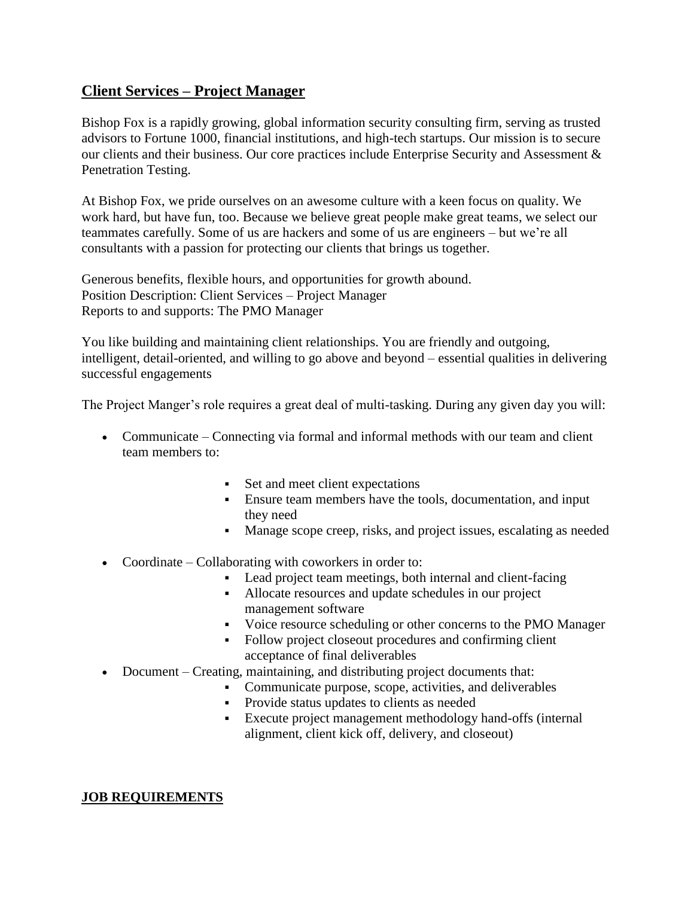## **Client Services – Project Manager**

Bishop Fox is a rapidly growing, global information security consulting firm, serving as trusted advisors to Fortune 1000, financial institutions, and high-tech startups. Our mission is to secure our clients and their business. Our core practices include Enterprise Security and Assessment & Penetration Testing.

At Bishop Fox, we pride ourselves on an awesome culture with a keen focus on quality. We work hard, but have fun, too. Because we believe great people make great teams, we select our teammates carefully. Some of us are hackers and some of us are engineers – but we're all consultants with a passion for protecting our clients that brings us together.

Generous benefits, flexible hours, and opportunities for growth abound. Position Description: Client Services – Project Manager Reports to and supports: The PMO Manager

You like building and maintaining client relationships. You are friendly and outgoing, intelligent, detail-oriented, and willing to go above and beyond – essential qualities in delivering successful engagements

The Project Manger's role requires a great deal of multi-tasking. During any given day you will:

- Communicate Connecting via formal and informal methods with our team and client team members to:
	- Set and meet client expectations
	- Ensure team members have the tools, documentation, and input they need
	- Manage scope creep, risks, and project issues, escalating as needed
- Coordinate Collaborating with coworkers in order to:
	- Lead project team meetings, both internal and client-facing
	- Allocate resources and update schedules in our project management software
	- Voice resource scheduling or other concerns to the PMO Manager
	- Follow project closeout procedures and confirming client acceptance of final deliverables
- Document Creating, maintaining, and distributing project documents that:
	- Communicate purpose, scope, activities, and deliverables
		- **Provide status updates to clients as needed**
		- Execute project management methodology hand-offs (internal alignment, client kick off, delivery, and closeout)

## **JOB REQUIREMENTS**